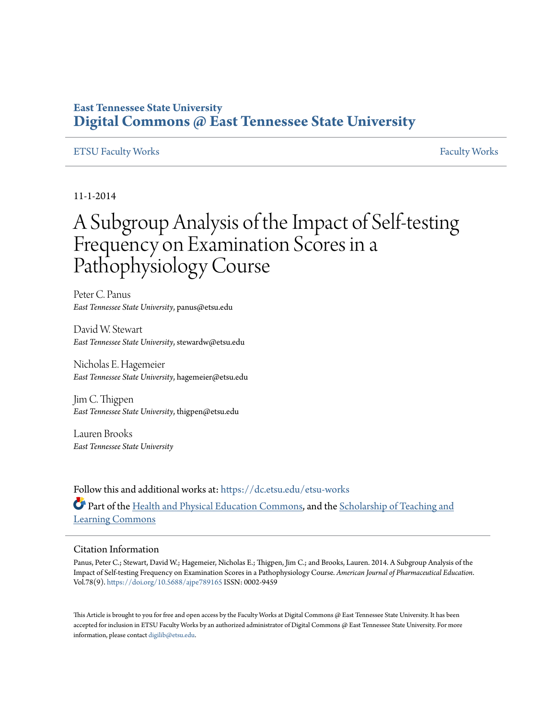### **East Tennessee State University [Digital Commons @ East Tennessee State University](https://dc.etsu.edu?utm_source=dc.etsu.edu%2Fetsu-works%2F1474&utm_medium=PDF&utm_campaign=PDFCoverPages)**

#### [ETSU Faculty Works](https://dc.etsu.edu/etsu-works?utm_source=dc.etsu.edu%2Fetsu-works%2F1474&utm_medium=PDF&utm_campaign=PDFCoverPages) [Faculty Works](https://dc.etsu.edu/faculty-works?utm_source=dc.etsu.edu%2Fetsu-works%2F1474&utm_medium=PDF&utm_campaign=PDFCoverPages)

11-1-2014

# A Subgroup Analysis of the Impact of Self-testing Frequency on Examination Scores in a Pathophysiology Course

Peter C. Panus *East Tennessee State University*, panus@etsu.edu

David W. Stewart *East Tennessee State University*, stewardw@etsu.edu

Nicholas E. Hagemeier *East Tennessee State University*, hagemeier@etsu.edu

Jim C. Thigpen *East Tennessee State University*, thigpen@etsu.edu

Lauren Brooks *East Tennessee State University*

Follow this and additional works at: [https://dc.etsu.edu/etsu-works](https://dc.etsu.edu/etsu-works?utm_source=dc.etsu.edu%2Fetsu-works%2F1474&utm_medium=PDF&utm_campaign=PDFCoverPages) Part of the [Health and Physical Education Commons](http://network.bepress.com/hgg/discipline/1327?utm_source=dc.etsu.edu%2Fetsu-works%2F1474&utm_medium=PDF&utm_campaign=PDFCoverPages), and the [Scholarship of Teaching and](http://network.bepress.com/hgg/discipline/1328?utm_source=dc.etsu.edu%2Fetsu-works%2F1474&utm_medium=PDF&utm_campaign=PDFCoverPages) [Learning Commons](http://network.bepress.com/hgg/discipline/1328?utm_source=dc.etsu.edu%2Fetsu-works%2F1474&utm_medium=PDF&utm_campaign=PDFCoverPages)

#### Citation Information

Panus, Peter C.; Stewart, David W.; Hagemeier, Nicholas E.; Thigpen, Jim C.; and Brooks, Lauren. 2014. A Subgroup Analysis of the Impact of Self-testing Frequency on Examination Scores in a Pathophysiology Course. *American Journal of Pharmaceutical Education*. Vol.78(9). <https://doi.org/10.5688/ajpe789165> ISSN: 0002-9459

This Article is brought to you for free and open access by the Faculty Works at Digital Commons  $\varpi$  East Tennessee State University. It has been accepted for inclusion in ETSU Faculty Works by an authorized administrator of Digital Commons @ East Tennessee State University. For more information, please contact [digilib@etsu.edu.](mailto:digilib@etsu.edu)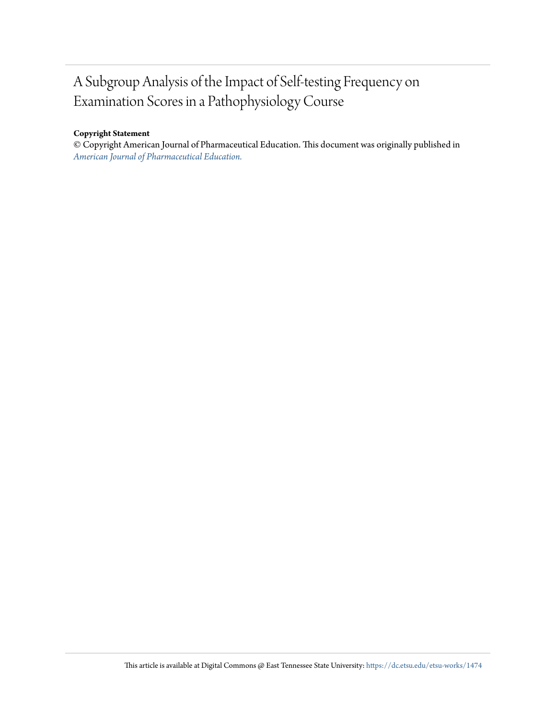## A Subgroup Analysis of the Impact of Self-testing Frequency on Examination Scores in a Pathophysiology Course

#### **Copyright Statement**

© Copyright American Journal of Pharmaceutical Education. This document was originally published in *[American Journal of Pharmaceutical Education.](http://www.ajpe.org/doi/abs/10.5688/ajpe789165)*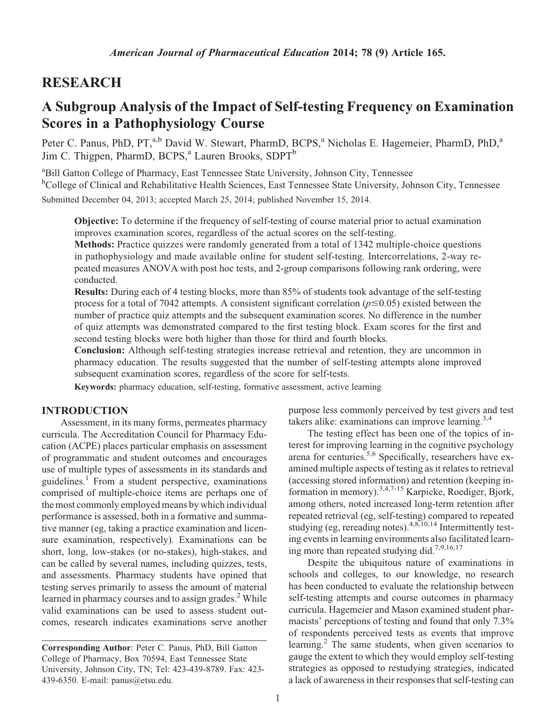## RESEARCH

## A Subgroup Analysis of the Impact of Self-testing Frequency on Examination Scores in a Pathophysiology Course

Peter C. Panus, PhD, PT,<sup>a,b</sup> David W. Stewart, PharmD, BCPS,<sup>a</sup> Nicholas E. Hagemeier, PharmD, PhD,<sup>a</sup> Jim C. Thigpen, PharmD, BCPS,<sup>a</sup> Lauren Brooks, SDPT<sup>b</sup>

<sup>a</sup>Bill Gatton College of Pharmacy, East Tennessee State University, Johnson City, Tennessee

<sup>b</sup>College of Clinical and Rehabilitative Health Sciences, East Tennessee State University, Johnson City, Tennessee

Submitted December 04, 2013; accepted March 25, 2014; published November 15, 2014.

Objective: To determine if the frequency of self-testing of course material prior to actual examination improves examination scores, regardless of the actual scores on the self-testing.

Methods: Practice quizzes were randomly generated from a total of 1342 multiple-choice questions in pathophysiology and made available online for student self-testing. Intercorrelations, 2-way repeated measures ANOVA with post hoc tests, and 2-group comparisons following rank ordering, were conducted.

Results: During each of 4 testing blocks, more than 85% of students took advantage of the self-testing process for a total of 7042 attempts. A consistent significant correlation ( $p \le 0.05$ ) existed between the number of practice quiz attempts and the subsequent examination scores. No difference in the number of quiz attempts was demonstrated compared to the first testing block. Exam scores for the first and second testing blocks were both higher than those for third and fourth blocks.

Conclusion: Although self-testing strategies increase retrieval and retention, they are uncommon in pharmacy education. The results suggested that the number of self-testing attempts alone improved subsequent examination scores, regardless of the score for self-tests.

Keywords: pharmacy education, self-testing, formative assessment, active learning

#### INTRODUCTION

Assessment, in its many forms, permeates pharmacy curricula. The Accreditation Council for Pharmacy Education (ACPE) places particular emphasis on assessment of programmatic and student outcomes and encourages use of multiple types of assessments in its standards and guidelines.1 From a student perspective, examinations comprised of multiple-choice items are perhaps one of the most commonly employed means by which individual performance is assessed, both in a formative and summative manner (eg, taking a practice examination and licensure examination, respectively). Examinations can be short, long, low-stakes (or no-stakes), high-stakes, and can be called by several names, including quizzes, tests, and assessments. Pharmacy students have opined that testing serves primarily to assess the amount of material learned in pharmacy courses and to assign grades.<sup>2</sup> While valid examinations can be used to assess student outcomes, research indicates examinations serve another purpose less commonly perceived by test givers and test takers alike: examinations can improve learning. $3,4$ 

The testing effect has been one of the topics of interest for improving learning in the cognitive psychology arena for centuries.<sup>5,6</sup> Specifically, researchers have examined multiple aspects of testing as it relates to retrieval (accessing stored information) and retention (keeping information in memory).3,4,7-15 Karpicke, Roediger, Bjork, among others, noted increased long-term retention after repeated retrieval (eg, self-testing) compared to repeated studying (eg, rereading notes).  $4,8,10,14$  Intermittently testing events in learning environments also facilitated learning more than repeated studying did.7,9,16,17

Despite the ubiquitous nature of examinations in schools and colleges, to our knowledge, no research has been conducted to evaluate the relationship between self-testing attempts and course outcomes in pharmacy curricula. Hagemeier and Mason examined student pharmacists' perceptions of testing and found that only 7.3% of respondents perceived tests as events that improve learning.<sup>2</sup> The same students, when given scenarios to gauge the extent to which they would employ self-testing strategies as opposed to restudying strategies, indicated a lack of awareness in their responses that self-testing can

Corresponding Author: Peter C. Panus, PhD, Bill Gatton College of Pharmacy, Box 70594, East Tennessee State University, Johnson City, TN; Tel: 423-439-8789. Fax: 423- 439-6350. E-mail: panus@etsu.edu.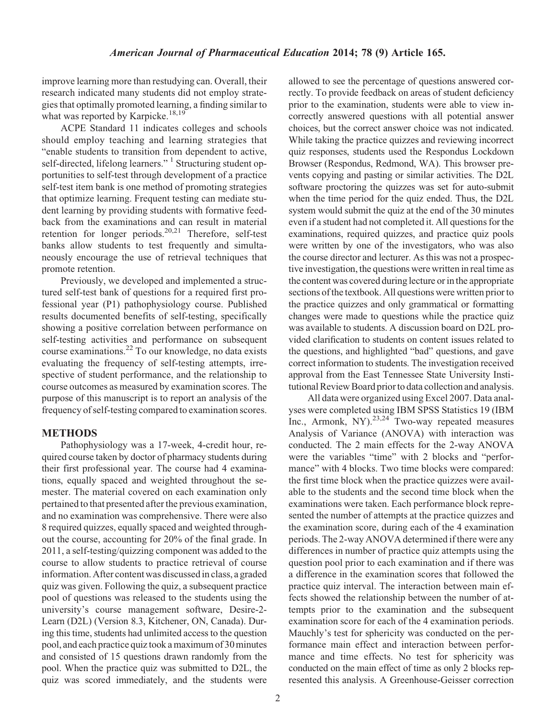improve learning more than restudying can. Overall, their research indicated many students did not employ strategies that optimally promoted learning, a finding similar to what was reported by Karpicke.<sup>18,19</sup>

ACPE Standard 11 indicates colleges and schools should employ teaching and learning strategies that "enable students to transition from dependent to active, self-directed, lifelong learners."<sup>1</sup> Structuring student opportunities to self-test through development of a practice self-test item bank is one method of promoting strategies that optimize learning. Frequent testing can mediate student learning by providing students with formative feedback from the examinations and can result in material retention for longer periods.<sup>20,21</sup> Therefore, self-test banks allow students to test frequently and simultaneously encourage the use of retrieval techniques that promote retention.

Previously, we developed and implemented a structured self-test bank of questions for a required first professional year (P1) pathophysiology course. Published results documented benefits of self-testing, specifically showing a positive correlation between performance on self-testing activities and performance on subsequent course examinations.22 To our knowledge, no data exists evaluating the frequency of self-testing attempts, irrespective of student performance, and the relationship to course outcomes as measured by examination scores. The purpose of this manuscript is to report an analysis of the frequency of self-testing compared to examination scores.

#### METHODS

Pathophysiology was a 17-week, 4-credit hour, required course taken by doctor of pharmacy students during their first professional year. The course had 4 examinations, equally spaced and weighted throughout the semester. The material covered on each examination only pertained to that presented after the previous examination, and no examination was comprehensive. There were also 8 required quizzes, equally spaced and weighted throughout the course, accounting for 20% of the final grade. In 2011, a self-testing/quizzing component was added to the course to allow students to practice retrieval of course information. After content was discussedin class, a graded quiz was given. Following the quiz, a subsequent practice pool of questions was released to the students using the university's course management software, Desire-2- Learn (D2L) (Version 8.3, Kitchener, ON, Canada). During this time, students had unlimited access to the question pool, and each practice quiz took a maximum of 30 minutes and consisted of 15 questions drawn randomly from the pool. When the practice quiz was submitted to D2L, the quiz was scored immediately, and the students were allowed to see the percentage of questions answered correctly. To provide feedback on areas of student deficiency prior to the examination, students were able to view incorrectly answered questions with all potential answer choices, but the correct answer choice was not indicated. While taking the practice quizzes and reviewing incorrect quiz responses, students used the Respondus Lockdown Browser (Respondus, Redmond, WA). This browser prevents copying and pasting or similar activities. The D2L software proctoring the quizzes was set for auto-submit when the time period for the quiz ended. Thus, the D2L system would submit the quiz at the end of the 30 minutes even if a student had not completed it. All questions for the examinations, required quizzes, and practice quiz pools were written by one of the investigators, who was also the course director and lecturer. As this was not a prospective investigation, the questions were written in real time as the content was covered during lecture or in the appropriate sections of the textbook. All questions were written prior to the practice quizzes and only grammatical or formatting changes were made to questions while the practice quiz was available to students. A discussion board on D2L provided clarification to students on content issues related to the questions, and highlighted "bad" questions, and gave correct information to students. The investigation received approval from the East Tennessee State University Institutional Review Board priorto data collection and analysis.

All data were organized using Excel 2007. Data analyses were completed using IBM SPSS Statistics 19 (IBM Inc., Armonk, NY).<sup>23,24</sup> Two-way repeated measures Analysis of Variance (ANOVA) with interaction was conducted. The 2 main effects for the 2-way ANOVA were the variables "time" with 2 blocks and "performance" with 4 blocks. Two time blocks were compared: the first time block when the practice quizzes were available to the students and the second time block when the examinations were taken. Each performance block represented the number of attempts at the practice quizzes and the examination score, during each of the 4 examination periods. The 2-way ANOVA determined if there were any differences in number of practice quiz attempts using the question pool prior to each examination and if there was a difference in the examination scores that followed the practice quiz interval. The interaction between main effects showed the relationship between the number of attempts prior to the examination and the subsequent examination score for each of the 4 examination periods. Mauchly's test for sphericity was conducted on the performance main effect and interaction between performance and time effects. No test for sphericity was conducted on the main effect of time as only 2 blocks represented this analysis. A Greenhouse-Geisser correction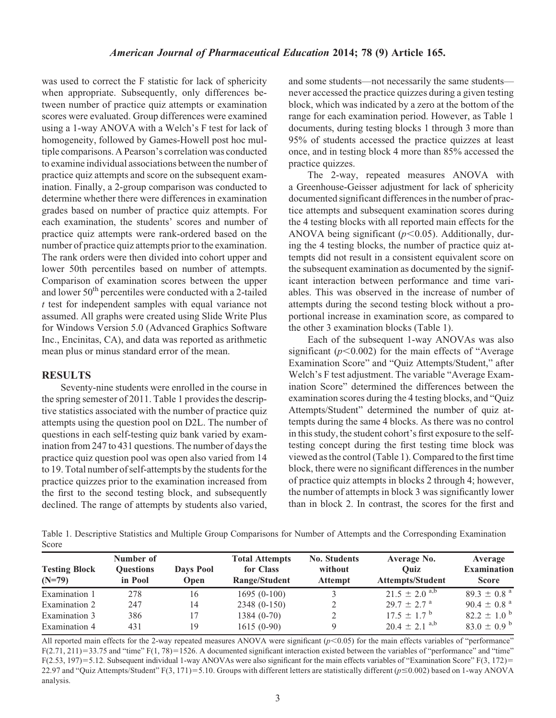was used to correct the F statistic for lack of sphericity when appropriate. Subsequently, only differences between number of practice quiz attempts or examination scores were evaluated. Group differences were examined using a 1-way ANOVA with a Welch's F test for lack of homogeneity, followed by Games-Howell post hoc multiple comparisons. A Pearson's correlation was conducted to examine individual associations between the number of practice quiz attempts and score on the subsequent examination. Finally, a 2-group comparison was conducted to determine whether there were differences in examination grades based on number of practice quiz attempts. For each examination, the students' scores and number of practice quiz attempts were rank-ordered based on the number of practice quiz attempts prior to the examination. The rank orders were then divided into cohort upper and lower 50th percentiles based on number of attempts. Comparison of examination scores between the upper and lower 50<sup>th</sup> percentiles were conducted with a 2-tailed  $t$  test for independent samples with equal variance not assumed. All graphs were created using Slide Write Plus for Windows Version 5.0 (Advanced Graphics Software Inc., Encinitas, CA), and data was reported as arithmetic mean plus or minus standard error of the mean.

#### **RESULTS**

Seventy-nine students were enrolled in the course in the spring semester of 2011. Table 1 provides the descriptive statistics associated with the number of practice quiz attempts using the question pool on D2L. The number of questions in each self-testing quiz bank varied by examination from 247 to 431 questions. The number of days the practice quiz question pool was open also varied from 14 to 19. Total number of self-attempts by the students for the practice quizzes prior to the examination increased from the first to the second testing block, and subsequently declined. The range of attempts by students also varied,

and some students—not necessarily the same students never accessed the practice quizzes during a given testing block, which was indicated by a zero at the bottom of the range for each examination period. However, as Table 1 documents, during testing blocks 1 through 3 more than 95% of students accessed the practice quizzes at least once, and in testing block 4 more than 85% accessed the practice quizzes.

The 2-way, repeated measures ANOVA with a Greenhouse-Geisser adjustment for lack of sphericity documented significant differences in the number of practice attempts and subsequent examination scores during the 4 testing blocks with all reported main effects for the ANOVA being significant ( $p$ <0.05). Additionally, during the 4 testing blocks, the number of practice quiz attempts did not result in a consistent equivalent score on the subsequent examination as documented by the significant interaction between performance and time variables. This was observed in the increase of number of attempts during the second testing block without a proportional increase in examination score, as compared to the other 3 examination blocks (Table 1).

Each of the subsequent 1-way ANOVAs was also significant ( $p<0.002$ ) for the main effects of "Average" Examination Score" and "Quiz Attempts/Student," after Welch's F test adjustment. The variable "Average Examination Score" determined the differences between the examination scores during the 4 testing blocks, and "Quiz Attempts/Student" determined the number of quiz attempts during the same 4 blocks. As there was no control in this study, the student cohort's first exposure to the selftesting concept during the first testing time block was viewed as the control (Table 1). Compared to the first time block, there were no significant differences in the number of practice quiz attempts in blocks 2 through 4; however, the number of attempts in block 3 was significantly lower than in block 2. In contrast, the scores for the first and

Table 1. Descriptive Statistics and Multiple Group Comparisons for Number of Attempts and the Corresponding Examination Score

| <b>Testing Block</b> | Number of<br><b>Ouestions</b> | <b>Days Pool</b> | <b>Total Attempts</b><br>for Class | <b>No. Students</b><br>without | Average No.<br>Ouiz           | Average<br><b>Examination</b> |
|----------------------|-------------------------------|------------------|------------------------------------|--------------------------------|-------------------------------|-------------------------------|
| $(N=79)$             | in Pool                       | Open             | Range/Student                      | <b>Attempt</b>                 | <b>Attempts/Student</b>       | <b>Score</b>                  |
| Examination 1        | 278                           | 16               | $1695(0-100)$                      |                                | $21.5 \pm 2.0$ <sup>a,b</sup> | $89.3 \pm 0.8$ <sup>a</sup>   |
| Examination 2        | 247                           | 14               | 2348 (0-150)                       |                                | $29.7 \pm 2.7$ <sup>a</sup>   | $90.4 \pm 0.8$ <sup>a</sup>   |
| Examination 3        | 386                           | 17               | $1384(0-70)$                       |                                | $17.5 + 1.7^{\circ}$          | $82.2 + 1.0^{b}$              |
| Examination 4        | 431                           | 19               | $1615(0-90)$                       | Q                              | $20.4 \pm 2.1^{a,b}$          | $83.0 \pm 0.9^{\circ}$        |

All reported main effects for the 2-way repeated measures ANOVA were significant  $(p<0.05)$  for the main effects variables of "performance"  $F(2.71, 211) = 33.75$  and "time"  $F(1, 78) = 1526$ . A documented significant interaction existed between the variables of "performance" and "time"  $F(2.53, 197) = 5.12$ . Subsequent individual 1-way ANOVAs were also significant for the main effects variables of "Examination Score"  $F(3, 172) =$ 22.97 and "Quiz Attempts/Student" F(3, 171)=5.10. Groups with different letters are statistically different ( $p \le 0.002$ ) based on 1-way ANOVA analysis.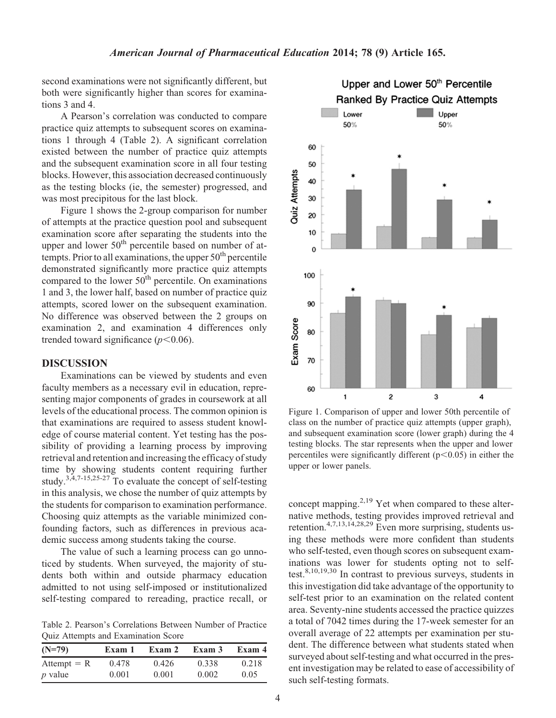second examinations were not significantly different, but both were significantly higher than scores for examinations 3 and 4.

A Pearson's correlation was conducted to compare practice quiz attempts to subsequent scores on examinations 1 through 4 (Table 2). A significant correlation existed between the number of practice quiz attempts and the subsequent examination score in all four testing blocks. However, this association decreased continuously as the testing blocks (ie, the semester) progressed, and was most precipitous for the last block.

Figure 1 shows the 2-group comparison for number of attempts at the practice question pool and subsequent examination score after separating the students into the upper and lower  $50<sup>th</sup>$  percentile based on number of attempts. Prior to all examinations, the upper  $50<sup>th</sup>$  percentile demonstrated significantly more practice quiz attempts compared to the lower  $50<sup>th</sup>$  percentile. On examinations 1 and 3, the lower half, based on number of practice quiz attempts, scored lower on the subsequent examination. No difference was observed between the 2 groups on examination 2, and examination 4 differences only trended toward significance  $(p<0.06)$ .

#### DISCUSSION

Examinations can be viewed by students and even faculty members as a necessary evil in education, representing major components of grades in coursework at all levels of the educational process. The common opinion is that examinations are required to assess student knowledge of course material content. Yet testing has the possibility of providing a learning process by improving retrieval and retention and increasing the efficacy of study time by showing students content requiring further study.<sup>3,4,7-15,25-27</sup> To evaluate the concept of self-testing in this analysis, we chose the number of quiz attempts by the students for comparison to examination performance. Choosing quiz attempts as the variable minimized confounding factors, such as differences in previous academic success among students taking the course.

The value of such a learning process can go unnoticed by students. When surveyed, the majority of students both within and outside pharmacy education admitted to not using self-imposed or institutionalized self-testing compared to rereading, practice recall, or

Table 2. Pearson's Correlations Between Number of Practice Quiz Attempts and Examination Score

| $(N=79)$      | Exam 1 | Exam 2 | Exam 3 | Exam 4 |
|---------------|--------|--------|--------|--------|
| Attempt $= R$ | 0.478  | 0.426  | 0.338  | 0.218  |
| $p$ value     | 0.001  | 0.001  | 0.002  | 0.05   |



Figure 1. Comparison of upper and lower 50th percentile of class on the number of practice quiz attempts (upper graph), and subsequent examination score (lower graph) during the 4 testing blocks. The star represents when the upper and lower percentiles were significantly different  $(p<0.05)$  in either the upper or lower panels.

concept mapping.<sup>2,19</sup> Yet when compared to these alternative methods, testing provides improved retrieval and retention.4,7,13,14,28,29 Even more surprising, students using these methods were more confident than students who self-tested, even though scores on subsequent examinations was lower for students opting not to selftest. $8,10,19,30$  In contrast to previous surveys, students in this investigation did take advantage of the opportunity to self-test prior to an examination on the related content area. Seventy-nine students accessed the practice quizzes a total of 7042 times during the 17-week semester for an overall average of 22 attempts per examination per student. The difference between what students stated when surveyed about self-testing and what occurred in the present investigation may be related to ease of accessibility of such self-testing formats.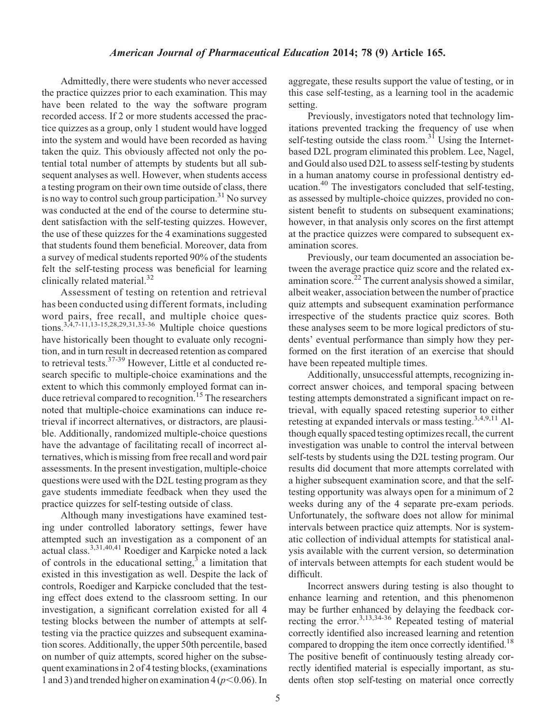Admittedly, there were students who never accessed the practice quizzes prior to each examination. This may have been related to the way the software program recorded access. If 2 or more students accessed the practice quizzes as a group, only 1 student would have logged into the system and would have been recorded as having taken the quiz. This obviously affected not only the potential total number of attempts by students but all subsequent analyses as well. However, when students access a testing program on their own time outside of class, there is no way to control such group participation.<sup>31</sup> No survey was conducted at the end of the course to determine student satisfaction with the self-testing quizzes. However, the use of these quizzes for the 4 examinations suggested that students found them beneficial. Moreover, data from a survey of medical students reported 90% of the students felt the self-testing process was beneficial for learning clinically related material.<sup>32</sup>

Assessment of testing on retention and retrieval has been conducted using different formats, including word pairs, free recall, and multiple choice questions.<sup>3,4,7-11,13-15,28,29,31,33-36</sup> Multiple choice questions have historically been thought to evaluate only recognition, and in turn result in decreased retention as compared to retrieval tests.<sup>37-39</sup> However, Little et al conducted research specific to multiple-choice examinations and the extent to which this commonly employed format can induce retrieval compared to recognition.<sup>15</sup> The researchers noted that multiple-choice examinations can induce retrieval if incorrect alternatives, or distractors, are plausible. Additionally, randomized multiple-choice questions have the advantage of facilitating recall of incorrect alternatives, which is missing from free recall and word pair assessments. In the present investigation, multiple-choice questions were used with the D2L testing program as they gave students immediate feedback when they used the practice quizzes for self-testing outside of class.

Although many investigations have examined testing under controlled laboratory settings, fewer have attempted such an investigation as a component of an actual class.3,31,40,41 Roediger and Karpicke noted a lack of controls in the educational setting, $3$  a limitation that existed in this investigation as well. Despite the lack of controls, Roediger and Karpicke concluded that the testing effect does extend to the classroom setting. In our investigation, a significant correlation existed for all 4 testing blocks between the number of attempts at selftesting via the practice quizzes and subsequent examination scores. Additionally, the upper 50th percentile, based on number of quiz attempts, scored higher on the subsequent examinations in 2 of 4 testing blocks, (examinations 1 and 3) and trended higher on examination  $4 (p<0.06)$ . In

aggregate, these results support the value of testing, or in this case self-testing, as a learning tool in the academic setting.

Previously, investigators noted that technology limitations prevented tracking the frequency of use when self-testing outside the class room.<sup>31</sup> Using the Internetbased D2L program eliminated this problem. Lee, Nagel, and Gould also used D2L to assess self-testing by students in a human anatomy course in professional dentistry education.<sup>40</sup> The investigators concluded that self-testing, as assessed by multiple-choice quizzes, provided no consistent benefit to students on subsequent examinations; however, in that analysis only scores on the first attempt at the practice quizzes were compared to subsequent examination scores.

Previously, our team documented an association between the average practice quiz score and the related examination score.<sup>22</sup> The current analysis showed a similar, albeit weaker, association between the number of practice quiz attempts and subsequent examination performance irrespective of the students practice quiz scores. Both these analyses seem to be more logical predictors of students' eventual performance than simply how they performed on the first iteration of an exercise that should have been repeated multiple times.

Additionally, unsuccessful attempts, recognizing incorrect answer choices, and temporal spacing between testing attempts demonstrated a significant impact on retrieval, with equally spaced retesting superior to either retesting at expanded intervals or mass testing.<sup>3,4,9,11</sup> Although equally spaced testing optimizes recall, the current investigation was unable to control the interval between self-tests by students using the D2L testing program. Our results did document that more attempts correlated with a higher subsequent examination score, and that the selftesting opportunity was always open for a minimum of 2 weeks during any of the 4 separate pre-exam periods. Unfortunately, the software does not allow for minimal intervals between practice quiz attempts. Nor is systematic collection of individual attempts for statistical analysis available with the current version, so determination of intervals between attempts for each student would be difficult.

Incorrect answers during testing is also thought to enhance learning and retention, and this phenomenon may be further enhanced by delaying the feedback correcting the error.3,13,34-36 Repeated testing of material correctly identified also increased learning and retention compared to dropping the item once correctly identified.<sup>18</sup> The positive benefit of continuously testing already correctly identified material is especially important, as students often stop self-testing on material once correctly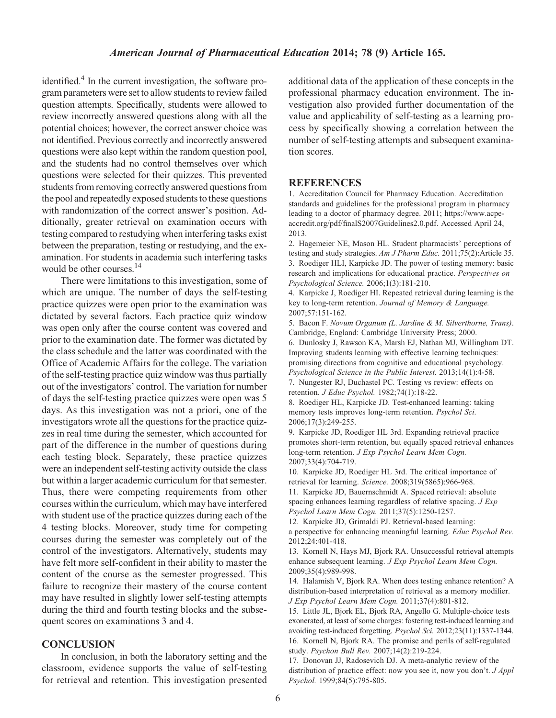identified.<sup>4</sup> In the current investigation, the software program parameters were set to allow students to review failed question attempts. Specifically, students were allowed to review incorrectly answered questions along with all the potential choices; however, the correct answer choice was not identified. Previous correctly and incorrectly answered questions were also kept within the random question pool, and the students had no control themselves over which questions were selected for their quizzes. This prevented students from removing correctly answered questions from the pool and repeatedly exposed students to these questions with randomization of the correct answer's position. Additionally, greater retrieval on examination occurs with testing compared to restudying when interfering tasks exist between the preparation, testing or restudying, and the examination. For students in academia such interfering tasks would be other courses.<sup>14</sup>

There were limitations to this investigation, some of which are unique. The number of days the self-testing practice quizzes were open prior to the examination was dictated by several factors. Each practice quiz window was open only after the course content was covered and prior to the examination date. The former was dictated by the class schedule and the latter was coordinated with the Office of Academic Affairs for the college. The variation of the self-testing practice quiz window was thus partially out of the investigators' control. The variation for number of days the self-testing practice quizzes were open was 5 days. As this investigation was not a priori, one of the investigators wrote all the questions for the practice quizzes in real time during the semester, which accounted for part of the difference in the number of questions during each testing block. Separately, these practice quizzes were an independent self-testing activity outside the class but within a larger academic curriculum for that semester. Thus, there were competing requirements from other courses within the curriculum, which may have interfered with student use of the practice quizzes during each of the 4 testing blocks. Moreover, study time for competing courses during the semester was completely out of the control of the investigators. Alternatively, students may have felt more self-confident in their ability to master the content of the course as the semester progressed. This failure to recognize their mastery of the course content may have resulted in slightly lower self-testing attempts during the third and fourth testing blocks and the subsequent scores on examinations 3 and 4.

#### **CONCLUSION**

In conclusion, in both the laboratory setting and the classroom, evidence supports the value of self-testing for retrieval and retention. This investigation presented additional data of the application of these concepts in the professional pharmacy education environment. The investigation also provided further documentation of the value and applicability of self-testing as a learning process by specifically showing a correlation between the number of self-testing attempts and subsequent examination scores.

#### **REFERENCES**

1. Accreditation Council for Pharmacy Education. Accreditation standards and guidelines for the professional program in pharmacy leading to a doctor of pharmacy degree. 2011; https://www.acpeaccredit.org/pdf/finalS2007Guidelines2.0.pdf. Accessed April 24, 2013.

2. Hagemeier NE, Mason HL. Student pharmacists' perceptions of testing and study strategies. Am J Pharm Educ. 2011;75(2):Article 35. 3. Roediger HLI, Karpicke JD. The power of testing memory: basic research and implications for educational practice. Perspectives on Psychological Science. 2006;1(3):181-210.

4. Karpicke J, Roediger HI. Repeated retrieval during learning is the key to long-term retention. Journal of Memory & Language. 2007;57:151-162.

5. Bacon F. Novum Organum (L. Jardine & M. Silverthorne, Trans). Cambridge, England: Cambridge University Press; 2000.

6. Dunlosky J, Rawson KA, Marsh EJ, Nathan MJ, Willingham DT. Improving students learning with effective learning techniques: promising directions from cognitive and educational psychology. Psychological Science in the Public Interest. 2013;14(1):4-58.

7. Nungester RJ, Duchastel PC. Testing vs review: effects on retention. J Educ Psychol. 1982;74(1):18-22.

8. Roediger HL, Karpicke JD. Test-enhanced learning: taking memory tests improves long-term retention. Psychol Sci. 2006;17(3):249-255.

9. Karpicke JD, Roediger HL 3rd. Expanding retrieval practice promotes short-term retention, but equally spaced retrieval enhances long-term retention. J Exp Psychol Learn Mem Cogn. 2007;33(4):704-719.

10. Karpicke JD, Roediger HL 3rd. The critical importance of retrieval for learning. Science. 2008;319(5865):966-968.

11. Karpicke JD, Bauernschmidt A. Spaced retrieval: absolute spacing enhances learning regardless of relative spacing. J Exp Psychol Learn Mem Cogn. 2011;37(5):1250-1257.

12. Karpicke JD, Grimaldi PJ. Retrieval-based learning: a perspective for enhancing meaningful learning. Educ Psychol Rev. 2012;24:401-418.

13. Kornell N, Hays MJ, Bjork RA. Unsuccessful retrieval attempts enhance subsequent learning. J Exp Psychol Learn Mem Cogn. 2009;35(4):989-998.

14. Halamish V, Bjork RA. When does testing enhance retention? A distribution-based interpretation of retrieval as a memory modifier. J Exp Psychol Learn Mem Cogn. 2011;37(4):801-812.

15. Little JL, Bjork EL, Bjork RA, Angello G. Multiple-choice tests exonerated, at least of some charges: fostering test-induced learning and avoiding test-induced forgetting. Psychol Sci. 2012;23(11):1337-1344. 16. Kornell N, Bjork RA. The promise and perils of self-regulated study. Psychon Bull Rev. 2007;14(2):219-224.

17. Donovan JJ, Radosevich DJ. A meta-analytic review of the distribution of practice effect: now you see it, now you don't. J Appl Psychol. 1999;84(5):795-805.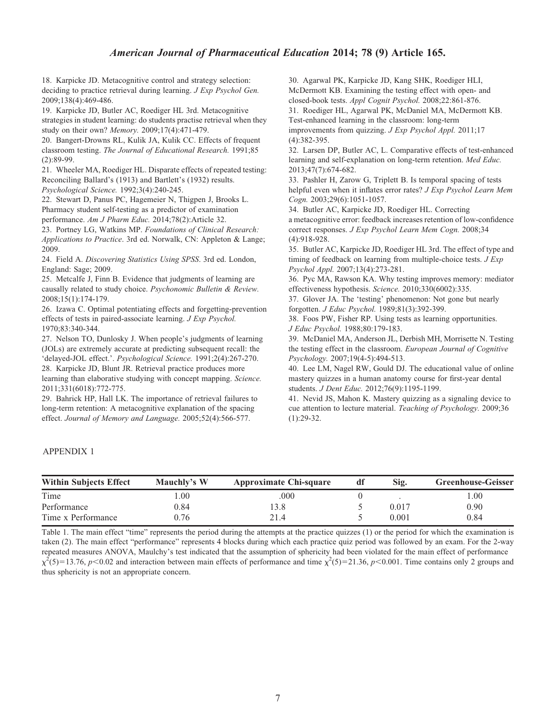#### American Journal of Pharmaceutical Education 2014; 78 (9) Article 165.

18. Karpicke JD. Metacognitive control and strategy selection: deciding to practice retrieval during learning. J Exp Psychol Gen. 2009;138(4):469-486.

19. Karpicke JD, Butler AC, Roediger HL 3rd. Metacognitive strategies in student learning: do students practise retrieval when they study on their own? Memory. 2009;17(4):471-479.

20. Bangert-Drowns RL, Kulik JA, Kulik CC. Effects of frequent classroom testing. The Journal of Educational Research. 1991;85 (2):89-99.

21. Wheeler MA, Roediger HL. Disparate effects of repeated testing: Reconciling Ballard's (1913) and Bartlett's (1932) results. Psychological Science. 1992;3(4):240-245.

22. Stewart D, Panus PC, Hagemeier N, Thigpen J, Brooks L. Pharmacy student self-testing as a predictor of examination performance. Am J Pharm Educ. 2014;78(2):Article 32.

23. Portney LG, Watkins MP. Foundations of Clinical Research: Applications to Practice. 3rd ed. Norwalk, CN: Appleton & Lange; 2009.

24. Field A. Discovering Statistics Using SPSS. 3rd ed. London, England: Sage; 2009.

25. Metcalfe J, Finn B. Evidence that judgments of learning are causally related to study choice. Psychonomic Bulletin & Review. 2008;15(1):174-179.

26. Izawa C. Optimal potentiating effects and forgetting-prevention effects of tests in paired-associate learning. J Exp Psychol. 1970;83:340-344.

27. Nelson TO, Dunlosky J. When people's judgments of learning (JOLs) are extremely accurate at predicting subsequent recall: the 'delayed-JOL effect.'. Psychological Science. 1991;2(4):267-270.

28. Karpicke JD, Blunt JR. Retrieval practice produces more learning than elaborative studying with concept mapping. Science. 2011;331(6018):772-775.

29. Bahrick HP, Hall LK. The importance of retrieval failures to long-term retention: A metacognitive explanation of the spacing effect. Journal of Memory and Language. 2005;52(4):566-577.

30. Agarwal PK, Karpicke JD, Kang SHK, Roediger HLI, McDermott KB. Examining the testing effect with open- and closed-book tests. Appl Cognit Psychol. 2008;22:861-876. 31. Roediger HL, Agarwal PK, McDaniel MA, McDermott KB. Test-enhanced learning in the classroom: long-term improvements from quizzing. J Exp Psychol Appl. 2011;17 (4):382-395.

32. Larsen DP, Butler AC, L. Comparative effects of test-enhanced learning and self-explanation on long-term retention. Med Educ. 2013;47(7):674-682.

33. Pashler H, Zarow G, Triplett B. Is temporal spacing of tests helpful even when it inflates error rates? J Exp Psychol Learn Mem Cogn. 2003;29(6):1051-1057.

34. Butler AC, Karpicke JD, Roediger HL. Correcting a metacognitive error: feedback increases retention of low-confidence correct responses. J Exp Psychol Learn Mem Cogn. 2008;34 (4):918-928.

35. Butler AC, Karpicke JD, Roediger HL 3rd. The effect of type and timing of feedback on learning from multiple-choice tests.  $J Exp$ Psychol Appl. 2007;13(4):273-281.

36. Pyc MA, Rawson KA. Why testing improves memory: mediator effectiveness hypothesis. Science. 2010;330(6002):335.

37. Glover JA. The 'testing' phenomenon: Not gone but nearly forgotten. J Educ Psychol. 1989;81(3):392-399.

38. Foos PW, Fisher RP. Using tests as learning opportunities. J Educ Psychol. 1988;80:179-183.

39. McDaniel MA, Anderson JL, Derbish MH, Morrisette N. Testing the testing effect in the classroom. European Journal of Cognitive Psychology. 2007;19(4-5):494-513.

40. Lee LM, Nagel RW, Gould DJ. The educational value of online mastery quizzes in a human anatomy course for first-year dental students. J Dent Educ. 2012;76(9):1195-1199.

41. Nevid JS, Mahon K. Mastery quizzing as a signaling device to cue attention to lecture material. Teaching of Psychology. 2009;36 (1):29-32.

#### APPENDIX 1

| <b>Within Subjects Effect</b> | Mauchly's W | <b>Approximate Chi-square</b> | df | Sig.  | <b>Greenhouse-Geisser</b> |
|-------------------------------|-------------|-------------------------------|----|-------|---------------------------|
| Time                          | .00         | .000.                         |    |       | 00.1                      |
| Performance                   | .).84       | 3.8                           |    | 0.017 | 0.90                      |
| Time x Performance            | 0.76        | 21.4                          |    | 0.001 | 0.84                      |

Table 1. The main effect "time" represents the period during the attempts at the practice quizzes (1) or the period for which the examination is taken (2). The main effect "performance" represents 4 blocks during which each practice quiz period was followed by an exam. For the 2-way repeated measures ANOVA, Maulchy's test indicated that the assumption of sphericity had been violated for the main effect of performance  $\chi^2(5)=13.76$ ,  $p<0.02$  and interaction between main effects of performance and time  $\chi^2(5)=21.36$ ,  $p<0.001$ . Time contains only 2 groups and thus sphericity is not an appropriate concern.